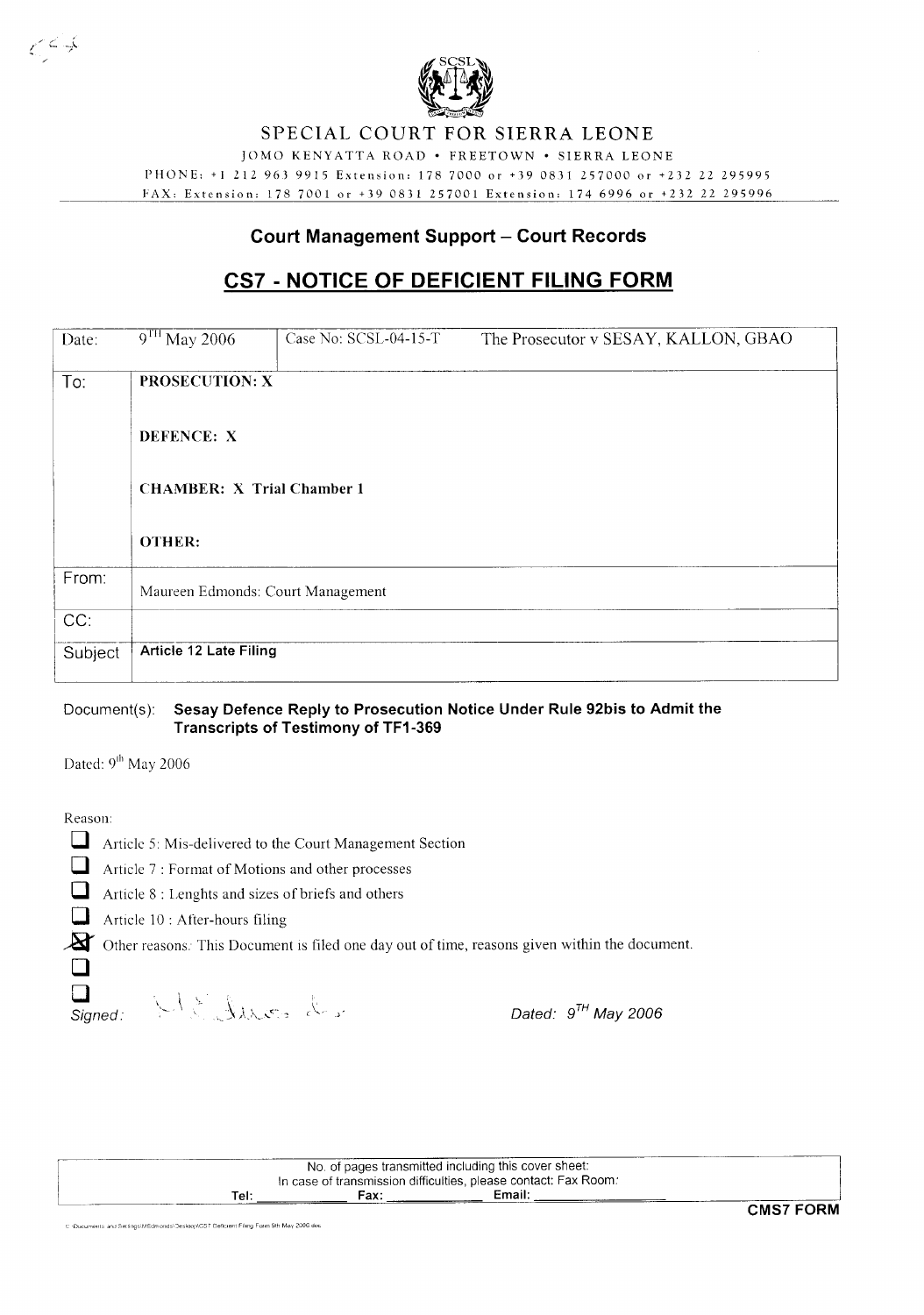

### **SPECIAL COURT FOR SIERRA LEONE**

lOMO KENYATTA ROAD· FREETOWN· SIERRA LEONE

PHONE: +12129639915 Extension: 1787000 or +39 0831257000 or +232 22 295995 FAX: Extension: 1787001 or +390831257001 Extension: 1746996 or +232 22 295996

#### **Court Management Support - Court Records**

## **CS7 - NOTICE OF DEFICIENT FILING FORM**

| Date:   | $9TH$ May 2006                                                           | Case No: SCSL-04-15-T | The Prosecutor v SESAY, KALLON, GBAO |  |  |  |  |  |  |
|---------|--------------------------------------------------------------------------|-----------------------|--------------------------------------|--|--|--|--|--|--|
| To:     | <b>PROSECUTION: X</b><br>DEFENCE: X<br><b>CHAMBER: X Trial Chamber 1</b> |                       |                                      |  |  |  |  |  |  |
|         |                                                                          |                       |                                      |  |  |  |  |  |  |
|         |                                                                          |                       |                                      |  |  |  |  |  |  |
|         | <b>OTHER:</b>                                                            |                       |                                      |  |  |  |  |  |  |
| From:   | Maureen Edmonds: Court Management                                        |                       |                                      |  |  |  |  |  |  |
| CC:     |                                                                          |                       |                                      |  |  |  |  |  |  |
| Subject | <b>Article 12 Late Filing</b>                                            |                       |                                      |  |  |  |  |  |  |

#### Document(s): **Sesay Defence Reply to Prosecution Notice Under Rule 92bis to Admit the Transcripts of Testimony of TF1-369**

Dated: 9<sup>th</sup> May 2006

Reason:

کی کے ص

|  | Article 5: Mis-delivered to the Court Management Section |  |  |
|--|----------------------------------------------------------|--|--|
|  |                                                          |  |  |

Article 7 : Format of Motions and other processes<br>Article 8 : Lenghts and sizes of briefs and others

Article 8 : Lenghts and sizes of briefs and others

Article 10 : After-hours filing

2 Other reasons. This Document is filed one day out of time, reasons given within the document. o

Signed:

 $\Box$ 

Dated:  $9^{\textsf{TH}}$  May 2006

[- No. of pages transmitted including this cover sheet: In case of transmission difficulties, please contact: Fax Room: **Tel: Fax: Email:** -----'~====~~====~~~======~----C=-MS7 **FORM**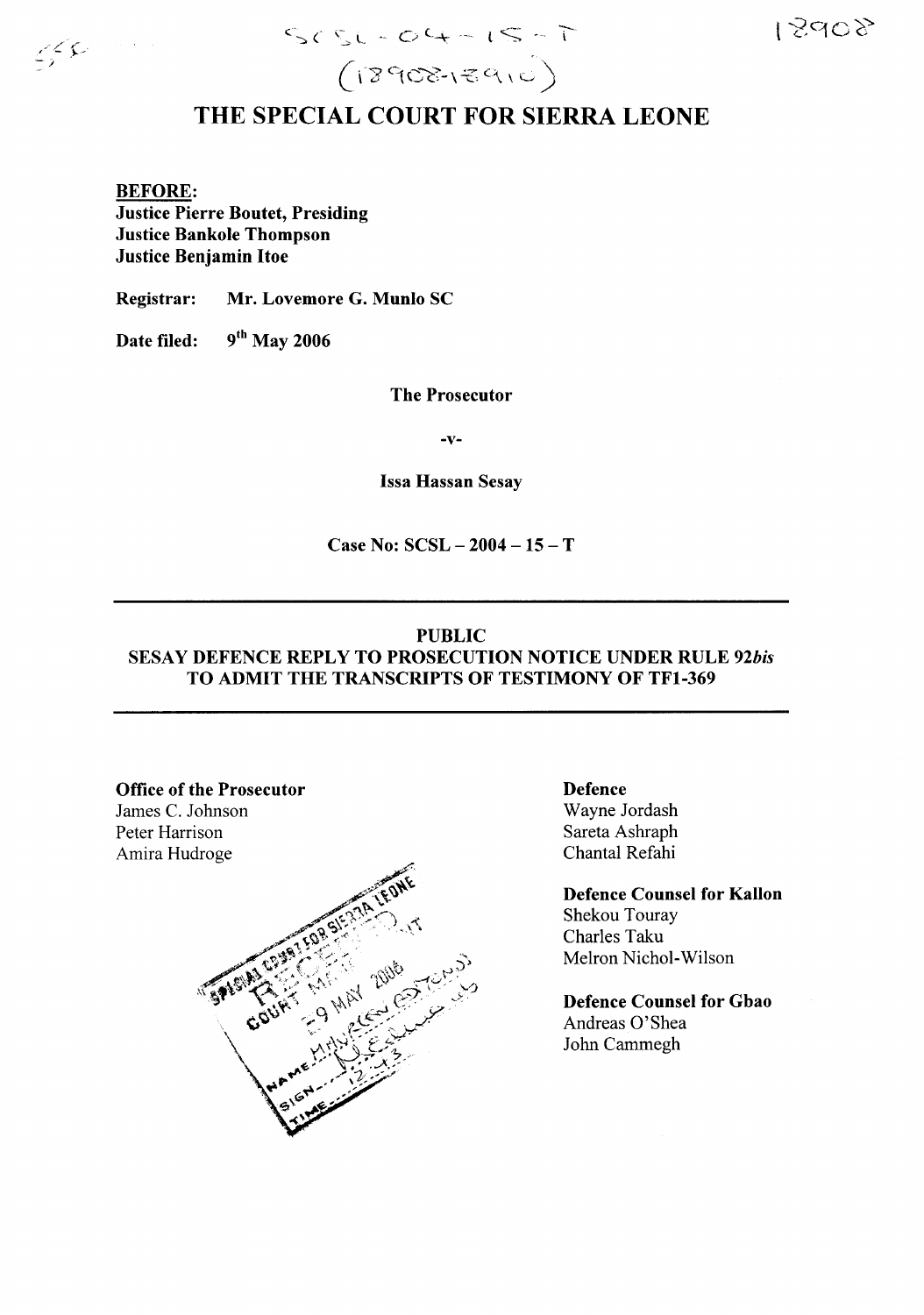

 $SCSL - O4 - IS - T$ <br>(18908-18910)

# THE SPECIAL COURT FOR SIERRA LEONE

BEFORE: Justice Pierre Boutet, Presiding Justice Bankole Thompson Justice Benjamin Hoe

Registrar: Mr. Lovemore G. Munlo SC

Date filed:  $9^{th}$  May 2006

The Prosecutor

-v-

Issa Hassan Sesay

Case No:  $SCSL - 2004 - 15 - T$ 

#### PUBLIC

### SESAY DEFENCE REPLY TO PROSECUTION NOTICE UNDER RULE *92bis* TO ADMIT THE TRANSCRIPTS OF TESTIMONY OF TFI-369

#### Office of the Prosecutor

James C. Johnson Peter Harrison Amira Hudroge



Defence Wayne Jordash Sareta Ashraph Chantal Refahi

Defence Counsel for Kallon Shekou Touray Charles Taku Melron Nichol-Wilson

Defence Counsel for Gbao Andreas O'Shea John Cammegh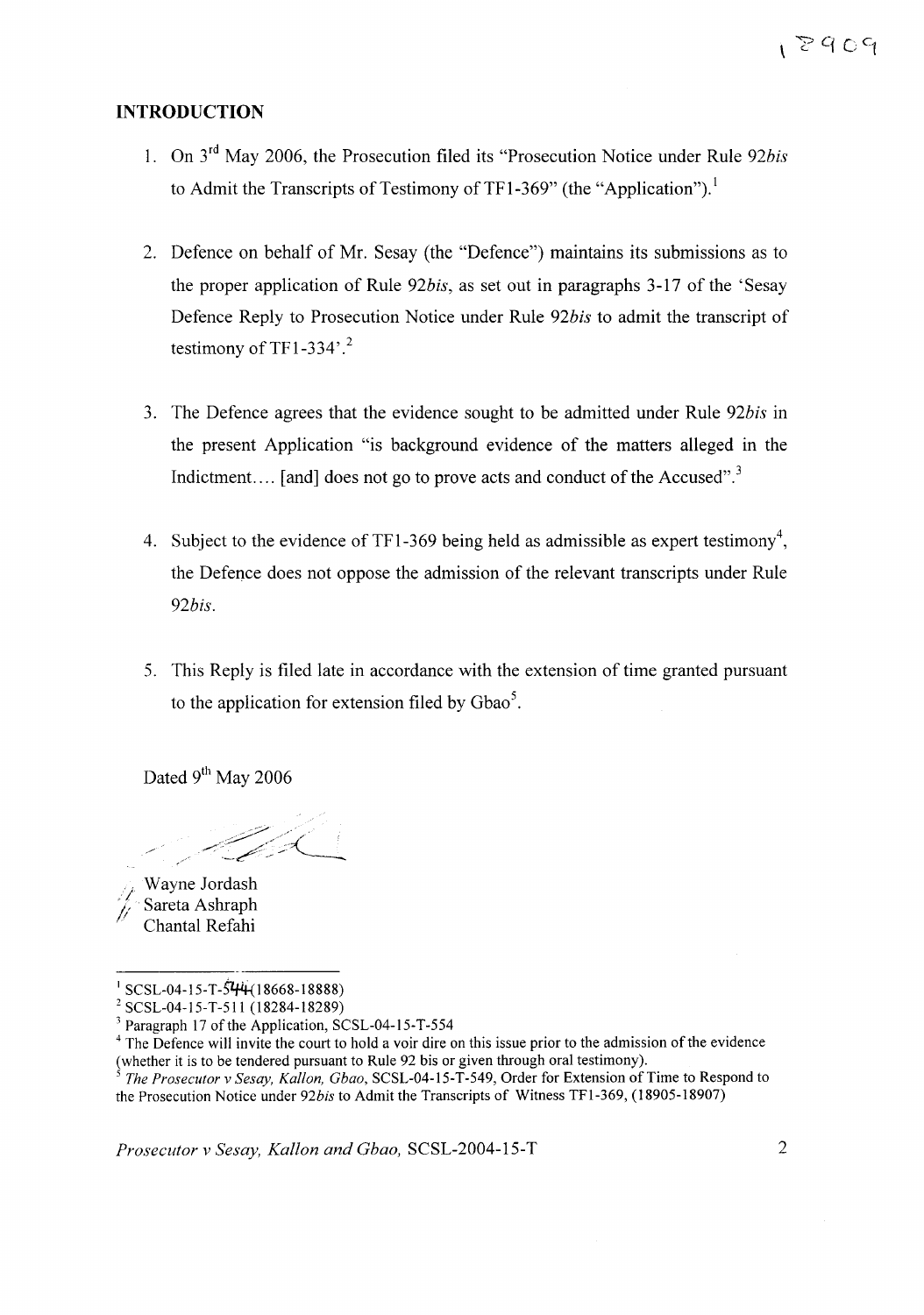#### **INTRODUCTION**

- 1. On 3rd May 2006, the Prosecution filed its "Prosecution Notice under Rule *92bis* to Admit the Transcripts of Testimony of TF1-369" (the "Application").
- 2. Defence on behalf of Mr. Sesay (the "Defence") maintains its submissions as to the proper application of Rule *92bis,* as set out in paragraphs 3-17 of the 'Sesay Defence Reply to Prosecution Notice under Rule *92bis* to admit the transcript of testimony of TF1-334 $^{\circ}$ .<sup>2</sup>
- 3. The Defence agrees that the evidence sought to be admitted under Rule *92bis* in the present Application "is background evidence of the matters alleged in the Indictment.... [and] does not go to prove acts and conduct of the Accused".<sup>3</sup>
- 4. Subject to the evidence of TF1-369 being held as admissible as expert testimony<sup>4</sup>, the Defence does not oppose the admission of the relevant transcripts under Rule *92bis.*
- 5. This Reply is filed late in accordance with the extension of time granted pursuant to the application for extension filed by Gbao<sup>5</sup>.

Dated 9<sup>th</sup> May 2006

Wayne Jordash *J*.Sareta Ashraph Chantal Refahi

*Prosecutor v Sesay, Kallon and Gbao,* SCSL-2004-15-T 2

 $\frac{1}{1}$  SCSL-04-15-T-544 (18668-18888)

<sup>2</sup> SCSL-04-15-T-511 (18284-18289)

 $3$  Paragraph 17 of the Application, SCSL-04-15-T-554

<sup>&</sup>lt;sup>4</sup> The Defence will invite the court to hold a voir dire on this issue prior to the admission of the evidence (whether it is to be tendered pursuant to Rule 92 bis or given through oral testimony).

*<sup>5</sup> The Prosecutor* v *Sesay, Kallon, Gbao,* SCSL-04-15-T-549, Order for Extension of Time to Respond to the Prosecution Notice under *92bis* to Admit the Transcripts of Witness TFl-369, (18905-18907)